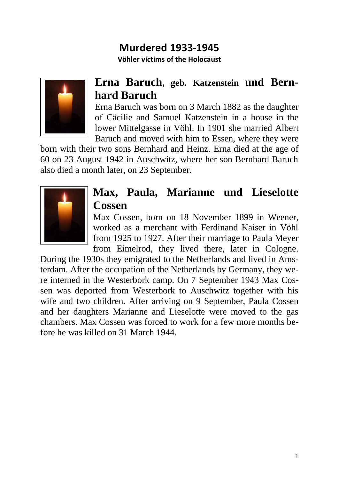## **Murdered 1933-1945**

**Vöhler victims of the Holocaust**



## **Erna Baruch, geb. Katzenstein und Bernhard Baruch**

Erna Baruch was born on 3 March 1882 as the daughter of Cäcilie and Samuel Katzenstein in a house in the lower Mittelgasse in Vöhl. In 1901 she married Albert Baruch and moved with him to Essen, where they were

born with their two sons Bernhard and Heinz. Erna died at the age of 60 on 23 August 1942 in Auschwitz, where her son Bernhard Baruch also died a month later, on 23 September.



## **Max, Paula, Marianne und Lieselotte Cossen**

Max Cossen, born on 18 November 1899 in Weener, worked as a merchant with Ferdinand Kaiser in Vöhl from 1925 to 1927. After their marriage to Paula Meyer from Eimelrod, they lived there, later in Cologne.

During the 1930s they emigrated to the Netherlands and lived in Amsterdam. After the occupation of the Netherlands by Germany, they were interned in the Westerbork camp. On 7 September 1943 Max Cossen was deported from Westerbork to Auschwitz together with his wife and two children. After arriving on 9 September, Paula Cossen and her daughters Marianne and Lieselotte were moved to the gas chambers. Max Cossen was forced to work for a few more months before he was killed on 31 March 1944.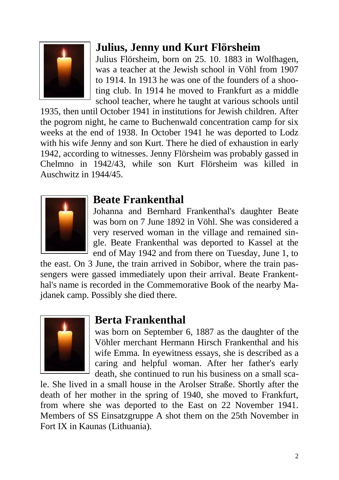

# **Julius, Jenny und Kurt Flörsheim**

Julius Flörsheim, born on 25. 10. 1883 in Wolfhagen, was a teacher at the Jewish school in Vöhl from 1907 to 1914. In 1913 he was one of the founders of a shooting club. In 1914 he moved to Frankfurt as a middle school teacher, where he taught at various schools until

1935, then until October 1941 in institutions for Jewish children. After the pogrom night, he came to Buchenwald concentration camp for six weeks at the end of 1938. In October 1941 he was deported to Lodz with his wife Jenny and son Kurt. There he died of exhaustion in early 1942, according to witnesses. Jenny Flörsheim was probably gassed in Chelmno in 1942/43, while son Kurt Flörsheim was killed in Auschwitz in 1944/45.



### **Beate Frankenthal**

Johanna and Bernhard Frankenthal's daughter Beate was born on 7 June 1892 in Vöhl. She was considered a very reserved woman in the village and remained single. Beate Frankenthal was deported to Kassel at the end of May 1942 and from there on Tuesday, June 1, to

the east. On 3 June, the train arrived in Sobibor, where the train passengers were gassed immediately upon their arrival. Beate Frankenthal's name is recorded in the Commemorative Book of the nearby Majdanek camp. Possibly she died there.



### **Berta Frankenthal**

was born on September 6, 1887 as the daughter of the Vöhler merchant Hermann Hirsch Frankenthal and his wife Emma. In eyewitness essays, she is described as a caring and helpful woman. After her father's early death, she continued to run his business on a small sca-

le. She lived in a small house in the Arolser Straße. Shortly after the death of her mother in the spring of 1940, she moved to Frankfurt, from where she was deported to the East on 22 November 1941. Members of SS Einsatzgruppe A shot them on the 25th November in Fort IX in Kaunas (Lithuania).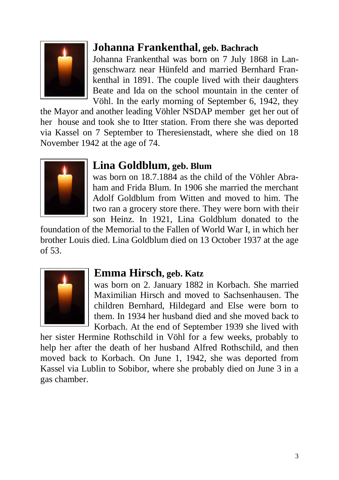

## **Johanna Frankenthal, geb. Bachrach**

Johanna Frankenthal was born on 7 July 1868 in Langenschwarz near Hünfeld and married Bernhard Frankenthal in 1891. The couple lived with their daughters Beate and Ida on the school mountain in the center of Vöhl. In the early morning of September 6, 1942, they

the Mayor and another leading Vöhler NSDAP member get her out of her house and took she to Itter station. From there she was deported via Kassel on 7 September to Theresienstadt, where she died on 18 November 1942 at the age of 74.



### **Lina Goldblum, geb. Blum**

was born on 18.7.1884 as the child of the Vöhler Abraham and Frida Blum. In 1906 she married the merchant Adolf Goldblum from Witten and moved to him. The two ran a grocery store there. They were born with their son Heinz. In 1921, Lina Goldblum donated to the

foundation of the Memorial to the Fallen of World War I, in which her brother Louis died. Lina Goldblum died on 13 October 1937 at the age of 53.



### **Emma Hirsch, geb. Katz**

was born on 2. January 1882 in Korbach. She married Maximilian Hirsch and moved to Sachsenhausen. The children Bernhard, Hildegard and Else were born to them. In 1934 her husband died and she moved back to Korbach. At the end of September 1939 she lived with

her sister Hermine Rothschild in Vöhl for a few weeks, probably to help her after the death of her husband Alfred Rothschild, and then moved back to Korbach. On June 1, 1942, she was deported from Kassel via Lublin to Sobibor, where she probably died on June 3 in a gas chamber.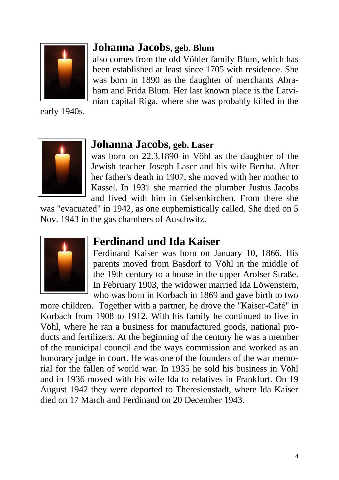

early 1940s.



### **Johanna Jacobs, geb. Blum**

also comes from the old Vöhler family Blum, which has been established at least since 1705 with residence. She was born in 1890 as the daughter of merchants Abraham and Frida Blum. Her last known place is the Latvinian capital Riga, where she was probably killed in the

### **Johanna Jacobs, geb. Laser**

was born on 22.3.1890 in Vöhl as the daughter of the Jewish teacher Joseph Laser and his wife Bertha. After her father's death in 1907, she moved with her mother to Kassel. In 1931 she married the plumber Justus Jacobs and lived with him in Gelsenkirchen. From there she

was "evacuated" in 1942, as one euphemistically called. She died on 5 Nov. 1943 in the gas chambers of Auschwitz.



### **Ferdinand und Ida Kaiser**

Ferdinand Kaiser was born on January 10, 1866. His parents moved from Basdorf to Vöhl in the middle of the 19th century to a house in the upper Arolser Straße. In February 1903, the widower married Ida Löwenstern, who was born in Korbach in 1869 and gave birth to two

more children. Together with a partner, he drove the "Kaiser-Café" in Korbach from 1908 to 1912. With his family he continued to live in Vöhl, where he ran a business for manufactured goods, national products and fertilizers. At the beginning of the century he was a member of the municipal council and the ways commission and worked as an honorary judge in court. He was one of the founders of the war memorial for the fallen of world war. In 1935 he sold his business in Vöhl and in 1936 moved with his wife Ida to relatives in Frankfurt. On 19 August 1942 they were deported to Theresienstadt, where Ida Kaiser died on 17 March and Ferdinand on 20 December 1943.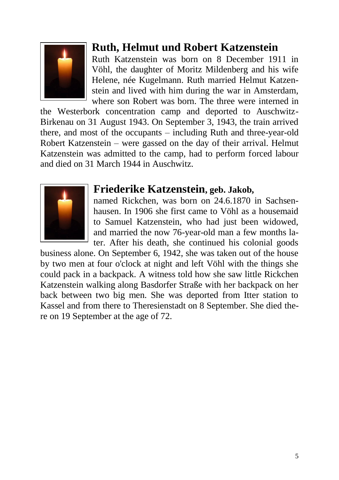

## **Ruth, Helmut und Robert Katzenstein**

Ruth Katzenstein was born on 8 December 1911 in Vöhl, the daughter of Moritz Mildenberg and his wife Helene, née Kugelmann. Ruth married Helmut Katzenstein and lived with him during the war in Amsterdam, where son Robert was born. The three were interned in

the Westerbork concentration camp and deported to Auschwitz-Birkenau on 31 August 1943. On September 3, 1943, the train arrived there, and most of the occupants – including Ruth and three-year-old Robert Katzenstein – were gassed on the day of their arrival. Helmut Katzenstein was admitted to the camp, had to perform forced labour and died on 31 March 1944 in Auschwitz.



### **Friederike Katzenstein, geb. Jakob,**

named Rickchen, was born on 24.6.1870 in Sachsenhausen. In 1906 she first came to Vöhl as a housemaid to Samuel Katzenstein, who had just been widowed, and married the now 76-year-old man a few months later. After his death, she continued his colonial goods

business alone. On September 6, 1942, she was taken out of the house by two men at four o'clock at night and left Vöhl with the things she could pack in a backpack. A witness told how she saw little Rickchen Katzenstein walking along Basdorfer Straße with her backpack on her back between two big men. She was deported from Itter station to Kassel and from there to Theresienstadt on 8 September. She died there on 19 September at the age of 72.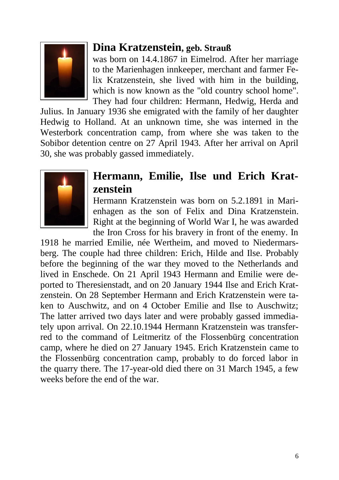

### **Dina Kratzenstein, geb. Strauß**

was born on 14.4.1867 in Eimelrod. After her marriage to the Marienhagen innkeeper, merchant and farmer Felix Kratzenstein, she lived with him in the building, which is now known as the "old country school home". They had four children: Hermann, Hedwig, Herda and

Julius. In January 1936 she emigrated with the family of her daughter Hedwig to Holland. At an unknown time, she was interned in the Westerbork concentration camp, from where she was taken to the Sobibor detention centre on 27 April 1943. After her arrival on April 30, she was probably gassed immediately.



## **Hermann, Emilie, Ilse und Erich Kratzenstein**

Hermann Kratzenstein was born on 5.2.1891 in Marienhagen as the son of Felix and Dina Kratzenstein. Right at the beginning of World War I, he was awarded the Iron Cross for his bravery in front of the enemy. In

1918 he married Emilie, née Wertheim, and moved to Niedermarsberg. The couple had three children: Erich, Hilde and Ilse. Probably before the beginning of the war they moved to the Netherlands and lived in Enschede. On 21 April 1943 Hermann and Emilie were deported to Theresienstadt, and on 20 January 1944 Ilse and Erich Kratzenstein. On 28 September Hermann and Erich Kratzenstein were taken to Auschwitz, and on 4 October Emilie and Ilse to Auschwitz; The latter arrived two days later and were probably gassed immediately upon arrival. On 22.10.1944 Hermann Kratzenstein was transferred to the command of Leitmeritz of the Flossenbürg concentration camp, where he died on 27 January 1945. Erich Kratzenstein came to the Flossenbürg concentration camp, probably to do forced labor in the quarry there. The 17-year-old died there on 31 March 1945, a few weeks before the end of the war.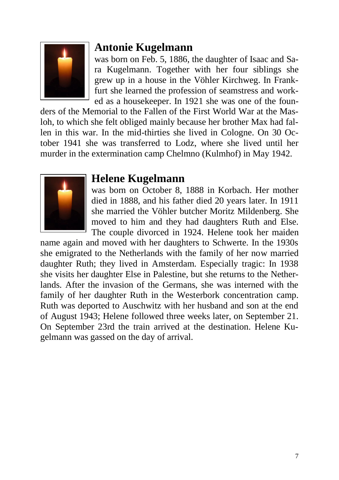

### **Antonie Kugelmann**

was born on Feb. 5, 1886, the daughter of Isaac and Sara Kugelmann. Together with her four siblings she grew up in a house in the Vöhler Kirchweg. In Frankfurt she learned the profession of seamstress and worked as a housekeeper. In 1921 she was one of the foun-

ders of the Memorial to the Fallen of the First World War at the Masloh, to which she felt obliged mainly because her brother Max had fallen in this war. In the mid-thirties she lived in Cologne. On 30 October 1941 she was transferred to Lodz, where she lived until her murder in the extermination camp Chelmno (Kulmhof) in May 1942.



#### **Helene Kugelmann**

was born on October 8, 1888 in Korbach. Her mother died in 1888, and his father died 20 years later. In 1911 she married the Vöhler butcher Moritz Mildenberg. She moved to him and they had daughters Ruth and Else. The couple divorced in 1924. Helene took her maiden

name again and moved with her daughters to Schwerte. In the 1930s she emigrated to the Netherlands with the family of her now married daughter Ruth; they lived in Amsterdam. Especially tragic: In 1938 she visits her daughter Else in Palestine, but she returns to the Netherlands. After the invasion of the Germans, she was interned with the family of her daughter Ruth in the Westerbork concentration camp. Ruth was deported to Auschwitz with her husband and son at the end of August 1943; Helene followed three weeks later, on September 21. On September 23rd the train arrived at the destination. Helene Kugelmann was gassed on the day of arrival.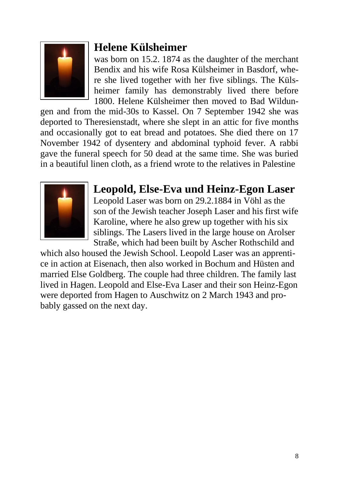

## **Helene Külsheimer**

was born on 15.2. 1874 as the daughter of the merchant Bendix and his wife Rosa Külsheimer in Basdorf, where she lived together with her five siblings. The Külsheimer family has demonstrably lived there before 1800. Helene Külsheimer then moved to Bad Wildun-

gen and from the mid-30s to Kassel. On 7 September 1942 she was deported to Theresienstadt, where she slept in an attic for five months and occasionally got to eat bread and potatoes. She died there on 17 November 1942 of dysentery and abdominal typhoid fever. A rabbi gave the funeral speech for 50 dead at the same time. She was buried in a beautiful linen cloth, as a friend wrote to the relatives in Palestine



## **Leopold, Else-Eva und Heinz-Egon Laser**

Leopold Laser was born on 29.2.1884 in Vöhl as the son of the Jewish teacher Joseph Laser and his first wife Karoline, where he also grew up together with his six siblings. The Lasers lived in the large house on Arolser Straße, which had been built by Ascher Rothschild and

which also housed the Jewish School. Leopold Laser was an apprentice in action at Eisenach, then also worked in Bochum and Hüsten and married Else Goldberg. The couple had three children. The family last lived in Hagen. Leopold and Else-Eva Laser and their son Heinz-Egon were deported from Hagen to Auschwitz on 2 March 1943 and probably gassed on the next day.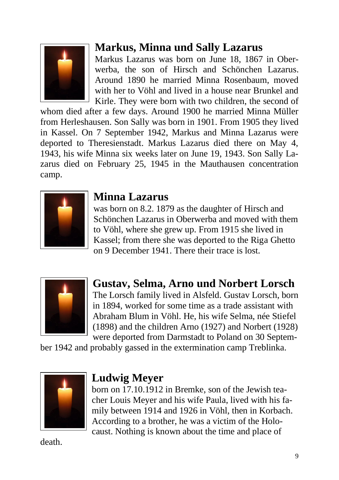

## **Markus, Minna und Sally Lazarus**

Markus Lazarus was born on June 18, 1867 in Oberwerba, the son of Hirsch and Schönchen Lazarus. Around 1890 he married Minna Rosenbaum, moved with her to Vöhl and lived in a house near Brunkel and Kirle. They were born with two children, the second of

whom died after a few days. Around 1900 he married Minna Müller from Herleshausen. Son Sally was born in 1901. From 1905 they lived in Kassel. On 7 September 1942, Markus and Minna Lazarus were deported to Theresienstadt. Markus Lazarus died there on May 4, 1943, his wife Minna six weeks later on June 19, 1943. Son Sally Lazarus died on February 25, 1945 in the Mauthausen concentration camp.



### **Minna Lazarus**

was born on 8.2. 1879 as the daughter of Hirsch and Schönchen Lazarus in Oberwerba and moved with them to Vöhl, where she grew up. From 1915 she lived in Kassel; from there she was deported to the Riga Ghetto on 9 December 1941. There their trace is lost.



## **Gustav, Selma, Arno und Norbert Lorsch**

The Lorsch family lived in Alsfeld. Gustav Lorsch, born in 1894, worked for some time as a trade assistant with Abraham Blum in Vöhl. He, his wife Selma, née Stiefel (1898) and the children Arno (1927) and Norbert (1928) were deported from Darmstadt to Poland on 30 Septem-

ber 1942 and probably gassed in the extermination camp Treblinka.



### **Ludwig Meyer**

born on 17.10.1912 in Bremke, son of the Jewish teacher Louis Meyer and his wife Paula, lived with his family between 1914 and 1926 in Vöhl, then in Korbach. According to a brother, he was a victim of the Holocaust. Nothing is known about the time and place of

death.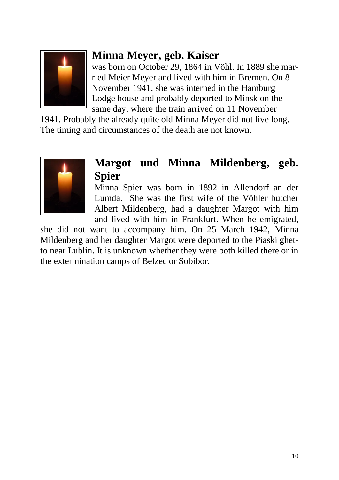

## **Minna Meyer, geb. Kaiser**

was born on October 29, 1864 in Vöhl. In 1889 she married Meier Meyer and lived with him in Bremen. On 8 November 1941, she was interned in the Hamburg Lodge house and probably deported to Minsk on the same day, where the train arrived on 11 November

1941. Probably the already quite old Minna Meyer did not live long. The timing and circumstances of the death are not known.



## **Margot und Minna Mildenberg, geb. Spier**

Minna Spier was born in 1892 in Allendorf an der Lumda. She was the first wife of the Vöhler butcher Albert Mildenberg, had a daughter Margot with him and lived with him in Frankfurt. When he emigrated,

she did not want to accompany him. On 25 March 1942, Minna Mildenberg and her daughter Margot were deported to the Piaski ghetto near Lublin. It is unknown whether they were both killed there or in the extermination camps of Belzec or Sobibor.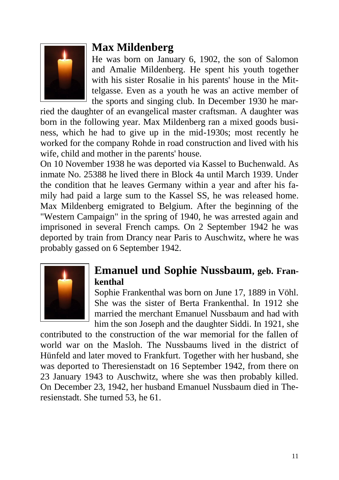

## **Max Mildenberg**

He was born on January 6, 1902, the son of Salomon and Amalie Mildenberg. He spent his youth together with his sister Rosalie in his parents' house in the Mittelgasse. Even as a youth he was an active member of the sports and singing club. In December 1930 he mar-

ried the daughter of an evangelical master craftsman. A daughter was born in the following year. Max Mildenberg ran a mixed goods business, which he had to give up in the mid-1930s; most recently he worked for the company Rohde in road construction and lived with his wife, child and mother in the parents' house.

On 10 November 1938 he was deported via Kassel to Buchenwald. As inmate No. 25388 he lived there in Block 4a until March 1939. Under the condition that he leaves Germany within a year and after his family had paid a large sum to the Kassel SS, he was released home. Max Mildenberg emigrated to Belgium. After the beginning of the "Western Campaign" in the spring of 1940, he was arrested again and imprisoned in several French camps. On 2 September 1942 he was deported by train from Drancy near Paris to Auschwitz, where he was probably gassed on 6 September 1942.



#### **Emanuel und Sophie Nussbaum, geb. Frankenthal**

Sophie Frankenthal was born on June 17, 1889 in Vöhl. She was the sister of Berta Frankenthal. In 1912 she married the merchant Emanuel Nussbaum and had with him the son Joseph and the daughter Siddi. In 1921, she

contributed to the construction of the war memorial for the fallen of world war on the Masloh. The Nussbaums lived in the district of Hünfeld and later moved to Frankfurt. Together with her husband, she was deported to Theresienstadt on 16 September 1942, from there on 23 January 1943 to Auschwitz, where she was then probably killed. On December 23, 1942, her husband Emanuel Nussbaum died in Theresienstadt. She turned 53, he 61.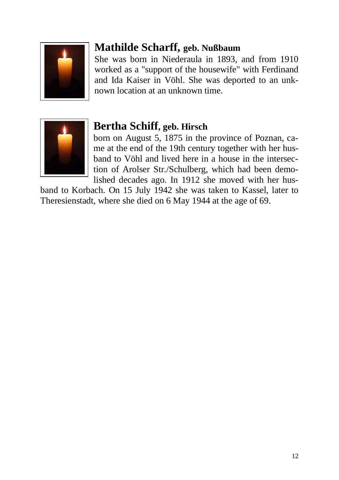

## **Mathilde Scharff, geb. Nußbaum**

She was born in Niederaula in 1893, and from 1910 worked as a "support of the housewife" with Ferdinand and Ida Kaiser in Vöhl. She was deported to an unknown location at an unknown time.



## **Bertha Schiff, geb. Hirsch**

born on August 5, 1875 in the province of Poznan, came at the end of the 19th century together with her husband to Vöhl and lived here in a house in the intersection of Arolser Str./Schulberg, which had been demolished decades ago. In 1912 she moved with her hus-

band to Korbach. On 15 July 1942 she was taken to Kassel, later to Theresienstadt, where she died on 6 May 1944 at the age of 69.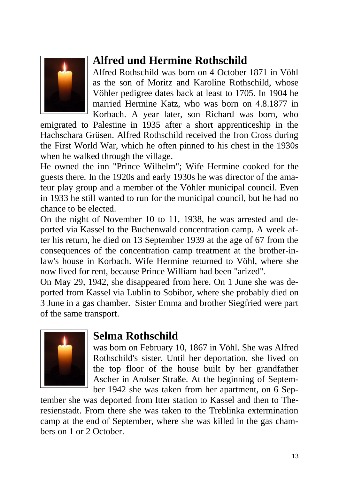

# **Alfred und Hermine Rothschild**

Alfred Rothschild was born on 4 October 1871 in Vöhl as the son of Moritz and Karoline Rothschild, whose Vöhler pedigree dates back at least to 1705. In 1904 he married Hermine Katz, who was born on 4.8.1877 in Korbach. A year later, son Richard was born, who

emigrated to Palestine in 1935 after a short apprenticeship in the Hachschara Grüsen. Alfred Rothschild received the Iron Cross during the First World War, which he often pinned to his chest in the 1930s when he walked through the village.

He owned the inn "Prince Wilhelm"; Wife Hermine cooked for the guests there. In the 1920s and early 1930s he was director of the amateur play group and a member of the Vöhler municipal council. Even in 1933 he still wanted to run for the municipal council, but he had no chance to be elected.

On the night of November 10 to 11, 1938, he was arrested and deported via Kassel to the Buchenwald concentration camp. A week after his return, he died on 13 September 1939 at the age of 67 from the consequences of the concentration camp treatment at the brother-inlaw's house in Korbach. Wife Hermine returned to Vöhl, where she now lived for rent, because Prince William had been "arized".

On May 29, 1942, she disappeared from here. On 1 June she was deported from Kassel via Lublin to Sobibor, where she probably died on 3 June in a gas chamber. Sister Emma and brother Siegfried were part of the same transport.



### **Selma Rothschild**

was born on February 10, 1867 in Vöhl. She was Alfred Rothschild's sister. Until her deportation, she lived on the top floor of the house built by her grandfather Ascher in Arolser Straße. At the beginning of September 1942 she was taken from her apartment, on 6 Sep-

tember she was deported from Itter station to Kassel and then to Theresienstadt. From there she was taken to the Treblinka extermination camp at the end of September, where she was killed in the gas chambers on 1 or 2 October.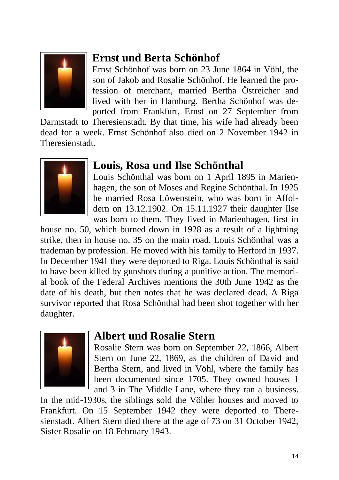

# **Ernst und Berta Schönhof**

Ernst Schönhof was born on 23 June 1864 in Vöhl, the son of Jakob and Rosalie Schönhof. He learned the profession of merchant, married Bertha Östreicher and lived with her in Hamburg. Bertha Schönhof was deported from Frankfurt, Ernst on 27 September from

Darmstadt to Theresienstadt. By that time, his wife had already been dead for a week. Ernst Schönhof also died on 2 November 1942 in Theresienstadt.



### **Louis, Rosa und Ilse Schönthal**

Louis Schönthal was born on 1 April 1895 in Marienhagen, the son of Moses and Regine Schönthal. In 1925 he married Rosa Löwenstein, who was born in Affoldern on 13.12.1902. On 15.11.1927 their daughter Ilse was born to them. They lived in Marienhagen, first in

house no. 50, which burned down in 1928 as a result of a lightning strike, then in house no. 35 on the main road. Louis Schönthal was a trademan by profession. He moved with his family to Herford in 1937. In December 1941 they were deported to Riga. Louis Schönthal is said to have been killed by gunshots during a punitive action. The memorial book of the Federal Archives mentions the 30th June 1942 as the date of his death, but then notes that he was declared dead. A Riga survivor reported that Rosa Schönthal had been shot together with her daughter.



### **Albert und Rosalie Stern**

Rosalie Stern was born on September 22, 1866, Albert Stern on June 22, 1869, as the children of David and Bertha Stern, and lived in Vöhl, where the family has been documented since 1705. They owned houses 1 and 3 in The Middle Lane, where they ran a business.

In the mid-1930s, the siblings sold the Vöhler houses and moved to Frankfurt. On 15 September 1942 they were deported to Theresienstadt. Albert Stern died there at the age of 73 on 31 October 1942, Sister Rosalie on 18 February 1943.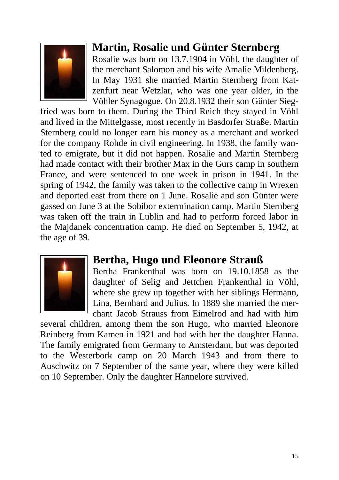

## **Martin, Rosalie und Günter Sternberg**

Rosalie was born on 13.7.1904 in Vöhl, the daughter of the merchant Salomon and his wife Amalie Mildenberg. In May 1931 she married Martin Sternberg from Katzenfurt near Wetzlar, who was one year older, in the Vöhler Synagogue. On 20.8.1932 their son Günter Sieg-

fried was born to them. During the Third Reich they stayed in Vöhl and lived in the Mittelgasse, most recently in Basdorfer Straße. Martin Sternberg could no longer earn his money as a merchant and worked for the company Rohde in civil engineering. In 1938, the family wanted to emigrate, but it did not happen. Rosalie and Martin Sternberg had made contact with their brother Max in the Gurs camp in southern France, and were sentenced to one week in prison in 1941. In the spring of 1942, the family was taken to the collective camp in Wrexen and deported east from there on 1 June. Rosalie and son Günter were gassed on June 3 at the Sobibor extermination camp. Martin Sternberg was taken off the train in Lublin and had to perform forced labor in the Majdanek concentration camp. He died on September 5, 1942, at the age of 39.



### **Bertha, Hugo und Eleonore Strauß**

Bertha Frankenthal was born on 19.10.1858 as the daughter of Selig and Jettchen Frankenthal in Vöhl, where she grew up together with her siblings Hermann, Lina, Bernhard and Julius. In 1889 she married the merchant Jacob Strauss from Eimelrod and had with him

several children, among them the son Hugo, who married Eleonore Reinberg from Kamen in 1921 and had with her the daughter Hanna. The family emigrated from Germany to Amsterdam, but was deported to the Westerbork camp on 20 March 1943 and from there to Auschwitz on 7 September of the same year, where they were killed on 10 September. Only the daughter Hannelore survived.